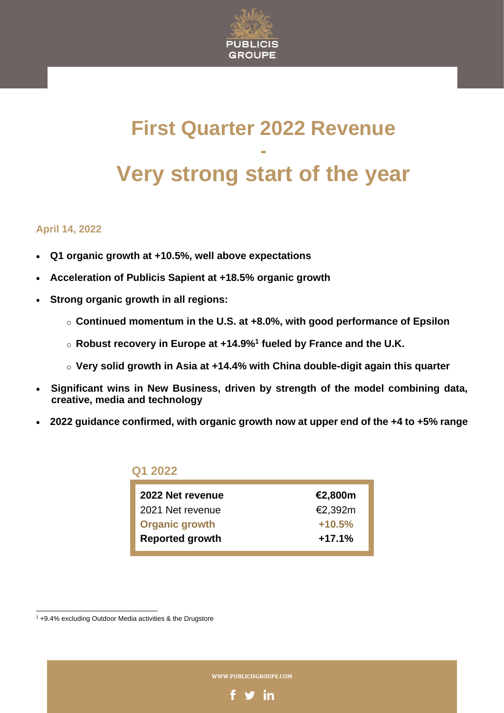

# **First Quarter 2022 Revenue - Very strong start of the year**

#### **April 14, 2022**

- **Q1 organic growth at +10.5%, well above expectations**
- **Acceleration of Publicis Sapient at +18.5% organic growth**
- **Strong organic growth in all regions:** 
	- o **Continued momentum in the U.S. at +8.0%, with good performance of Epsilon**
	- o **Robust recovery in Europe at +14.9%<sup>1</sup> fueled by France and the U.K.**
	- o **Very solid growth in Asia at +14.4% with China double-digit again this quarter**
- **Significant wins in New Business, driven by strength of the model combining data, creative, media and technology**
- **2022 guidance confirmed, with organic growth now at upper end of the +4 to +5% range**

#### **Q1 2022**

| 2022 Net revenue       | €2,800m  |
|------------------------|----------|
| 2021 Net revenue       | €2,392m  |
| <b>Organic growth</b>  | $+10.5%$ |
| <b>Reported growth</b> | $+17.1%$ |

**WWW.PUBLICISGROUPE.COM**



<sup>1</sup> +9.4% excluding Outdoor Media activities & the Drugstore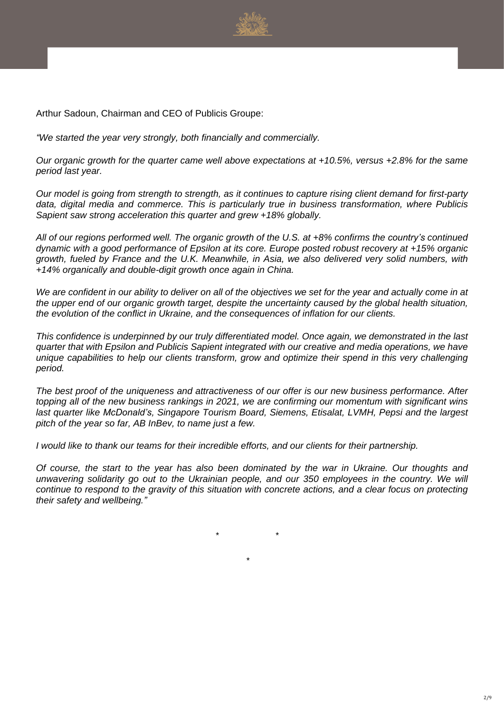

Arthur Sadoun, Chairman and CEO of Publicis Groupe:

*"We started the year very strongly, both financially and commercially.*

*Our organic growth for the quarter came well above expectations at +10.5%, versus +2.8% for the same period last year.*

Our model is going from strength to strength, as it continues to capture rising client demand for first-party *data, digital media and commerce. This is particularly true in business transformation, where Publicis Sapient saw strong acceleration this quarter and grew +18% globally.*

All of our regions performed well. The organic growth of the U.S. at +8% confirms the country's continued *dynamic with a good performance of Epsilon at its core. Europe posted robust recovery at +15% organic growth, fueled by France and the U.K. Meanwhile, in Asia, we also delivered very solid numbers, with +14% organically and double-digit growth once again in China.*

We are confident in our ability to deliver on all of the objectives we set for the year and actually come in at the upper end of our organic growth target, despite the uncertainty caused by the global health situation. *the evolution of the conflict in Ukraine, and the consequences of inflation for our clients.*

*This confidence is underpinned by our truly differentiated model. Once again, we demonstrated in the last quarter that with Epsilon and Publicis Sapient integrated with our creative and media operations, we have unique capabilities to help our clients transform, grow and optimize their spend in this very challenging period.*

*The best proof of the uniqueness and attractiveness of our offer is our new business performance. After topping all of the new business rankings in 2021, we are confirming our momentum with significant wins last quarter like McDonald's, Singapore Tourism Board, Siemens, Etisalat, LVMH, Pepsi and the largest pitch of the year so far, AB InBev, to name just a few.*

*I would like to thank our teams for their incredible efforts, and our clients for their partnership.*

Of course, the start to the year has also been dominated by the war in Ukraine. Our thoughts and *unwavering solidarity go out to the Ukrainian people, and our 350 employees in the country. We will* continue to respond to the gravity of this situation with concrete actions, and a clear focus on protecting *their safety and wellbeing."*

\* \*

 $\star$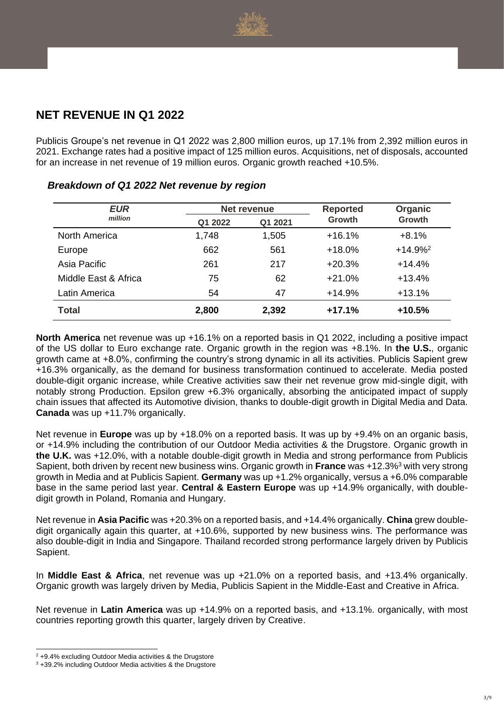

# **NET REVENUE IN Q1 2022**

Publicis Groupe's net revenue in Q1 2022 was 2,800 million euros, up 17.1% from 2,392 million euros in 2021. Exchange rates had a positive impact of 125 million euros. Acquisitions, net of disposals, accounted for an increase in net revenue of 19 million euros. Organic growth reached +10.5%.

| <b>EUR</b>           | <b>Net revenue</b> |       | <b>Reported</b> | Organic<br><b>Growth</b> |  |
|----------------------|--------------------|-------|-----------------|--------------------------|--|
| million              | Q1 2022<br>Q1 2021 |       | Growth          |                          |  |
| North America        | 1,748              | 1,505 | $+16.1%$        | $+8.1%$                  |  |
| Europe               | 662                | 561   | $+18.0%$        | $+14.9%2$                |  |
| Asia Pacific         | 261                | 217   | $+20.3%$        | $+14.4%$                 |  |
| Middle East & Africa | 75                 | 62    | $+21.0%$        | $+13.4%$                 |  |
| Latin America        | 54                 | 47    | $+14.9%$        | $+13.1%$                 |  |
| <b>Total</b>         | 2,800              | 2,392 | $+17.1%$        | $+10.5%$                 |  |

#### *Breakdown of Q1 2022 Net revenue by region*

**North America** net revenue was up +16.1% on a reported basis in Q1 2022, including a positive impact of the US dollar to Euro exchange rate. Organic growth in the region was +8.1%. In **the U.S.**, organic growth came at +8.0%, confirming the country's strong dynamic in all its activities. Publicis Sapient grew +16.3% organically, as the demand for business transformation continued to accelerate. Media posted double-digit organic increase, while Creative activities saw their net revenue grow mid-single digit, with notably strong Production. Epsilon grew +6.3% organically, absorbing the anticipated impact of supply chain issues that affected its Automotive division, thanks to double-digit growth in Digital Media and Data. **Canada** was up +11.7% organically.

Net revenue in **Europe** was up by +18.0% on a reported basis. It was up by +9.4% on an organic basis, or +14.9% including the contribution of our Outdoor Media activities & the Drugstore. Organic growth in **the U.K.** was +12.0%, with a notable double-digit growth in Media and strong performance from Publicis Sapient, both driven by recent new business wins. Organic growth in **France** was +12.3%<sup>3</sup> with very strong growth in Media and at Publicis Sapient. **Germany** was up +1.2% organically, versus a +6.0% comparable base in the same period last year. **Central & Eastern Europe** was up +14.9% organically, with doubledigit growth in Poland, Romania and Hungary.

Net revenue in **Asia Pacific** was +20.3% on a reported basis, and +14.4% organically. **China** grew doubledigit organically again this quarter, at +10.6%, supported by new business wins. The performance was also double-digit in India and Singapore. Thailand recorded strong performance largely driven by Publicis Sapient.

In **Middle East & Africa**, net revenue was up +21.0% on a reported basis, and +13.4% organically. Organic growth was largely driven by Media, Publicis Sapient in the Middle-East and Creative in Africa.

Net revenue in **Latin America** was up +14.9% on a reported basis, and +13.1%. organically, with most countries reporting growth this quarter, largely driven by Creative.

<sup>2</sup> +9.4% excluding Outdoor Media activities & the Drugstore

<sup>3</sup> +39.2% including Outdoor Media activities & the Drugstore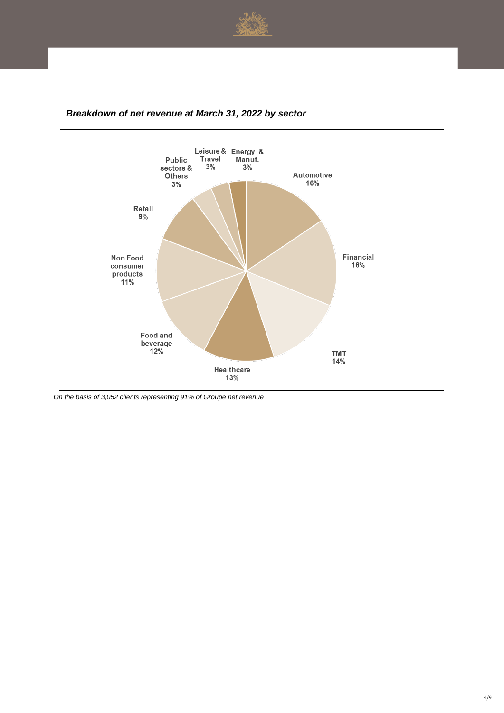



#### *Breakdown of net revenue at March 31, 2022 by sector*

 *On the basis of 3,052 clients representing 91% of Groupe net revenue*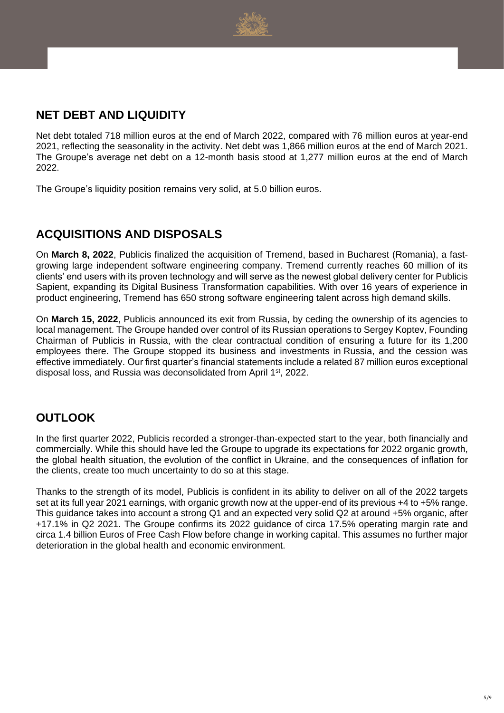

# **NET DEBT AND LIQUIDITY**

Net debt totaled 718 million euros at the end of March 2022, compared with 76 million euros at year-end 2021, reflecting the seasonality in the activity. Net debt was 1,866 million euros at the end of March 2021. The Groupe's average net debt on a 12-month basis stood at 1,277 million euros at the end of March 2022.

The Groupe's liquidity position remains very solid, at 5.0 billion euros.

## **ACQUISITIONS AND DISPOSALS**

On **March 8, 2022**, Publicis finalized the acquisition of Tremend, based in Bucharest (Romania), a fastgrowing large independent software engineering company. Tremend currently reaches 60 million of its clients' end users with its proven technology and will serve as the newest global delivery center for Publicis Sapient, expanding its Digital Business Transformation capabilities. With over 16 years of experience in product engineering, Tremend has 650 strong software engineering talent across high demand skills.

On **March 15, 2022**, Publicis announced its exit from Russia, by ceding the ownership of its agencies to local management. The Groupe handed over control of its Russian operations to Sergey Koptev, Founding Chairman of Publicis in Russia, with the clear contractual condition of ensuring a future for its 1,200 employees there. The Groupe stopped its business and investments in Russia, and the cession was effective immediately. Our first quarter's financial statements include a related 87 million euros exceptional disposal loss, and Russia was deconsolidated from April 1<sup>st</sup>, 2022.

# **OUTLOOK**

In the first quarter 2022, Publicis recorded a stronger-than-expected start to the year, both financially and commercially. While this should have led the Groupe to upgrade its expectations for 2022 organic growth, the global health situation, the evolution of the conflict in Ukraine, and the consequences of inflation for the clients, create too much uncertainty to do so at this stage.

Thanks to the strength of its model, Publicis is confident in its ability to deliver on all of the 2022 targets set at its full year 2021 earnings, with organic growth now at the upper-end of its previous +4 to +5% range. This guidance takes into account a strong Q1 and an expected very solid Q2 at around +5% organic, after +17.1% in Q2 2021. The Groupe confirms its 2022 guidance of circa 17.5% operating margin rate and circa 1.4 billion Euros of Free Cash Flow before change in working capital. This assumes no further major deterioration in the global health and economic environment.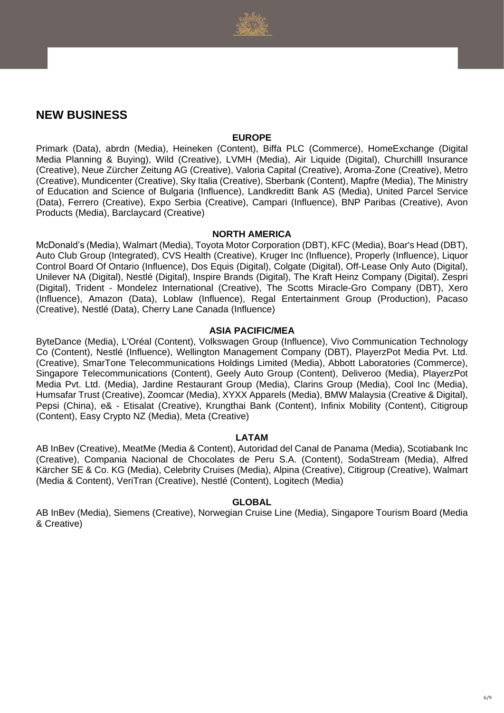

### **NEW BUSINESS**

#### **EUROPE**

Primark (Data), abrdn (Media), Heineken (Content), Biffa PLC (Commerce), HomeExchange (Digital Media Planning & Buying), Wild (Creative), LVMH (Media), Air Liquide (Digital), Churchilll Insurance (Creative), Neue Zürcher Zeitung AG (Creative), Valoria Capital (Creative), Aroma-Zone (Creative), Metro (Creative), Mundicenter (Creative), Sky Italia (Creative), Sberbank (Content), Mapfre (Media), The Ministry of Education and Science of Bulgaria (Influence), Landkreditt Bank AS (Media), United Parcel Service (Data), Ferrero (Creative), Expo Serbia (Creative), Campari (Influence), BNP Paribas (Creative), Avon Products (Media), Barclaycard (Creative)

#### **NORTH AMERICA**

McDonald's (Media), Walmart (Media), Toyota Motor Corporation (DBT), KFC (Media), Boar's Head (DBT), Auto Club Group (Integrated), CVS Health (Creative), Kruger Inc (Influence), Properly (Influence), Liquor Control Board Of Ontario (Influence), Dos Equis (Digital), Colgate (Digital), Off-Lease Only Auto (Digital), Unilever NA (Digital), Nestlé (Digital), Inspire Brands (Digital), The Kraft Heinz Company (Digital), Zespri (Digital), Trident - Mondelez International (Creative), The Scotts Miracle-Gro Company (DBT), Xero (Influence), Amazon (Data), Loblaw (Influence), Regal Entertainment Group (Production), Pacaso (Creative), Nestlé (Data), Cherry Lane Canada (Influence)

#### **ASIA PACIFIC/MEA**

ByteDance (Media), L'Oréal (Content), Volkswagen Group (Influence), Vivo Communication Technology Co (Content), Nestlé (Influence), Wellington Management Company (DBT), PlayerzPot Media Pvt. Ltd. (Creative), SmarTone Telecommunications Holdings Limited (Media), Abbott Laboratories (Commerce), Singapore Telecommunications (Content), Geely Auto Group (Content), Deliveroo (Media), PlayerzPot Media Pvt. Ltd. (Media), Jardine Restaurant Group (Media), Clarins Group (Media), Cool Inc (Media), Humsafar Trust (Creative), Zoomcar (Media), XYXX Apparels (Media), BMW Malaysia (Creative & Digital), Pepsi (China), e& - Etisalat (Creative), Krungthai Bank (Content), Infinix Mobility (Content), Citigroup (Content), Easy Crypto NZ (Media), Meta (Creative)

#### **LATAM**

AB InBev (Creative), MeatMe (Media & Content), Autoridad del Canal de Panama (Media), Scotiabank Inc (Creative), Compania Nacional de Chocolates de Peru S.A. (Content), SodaStream (Media), Alfred Kärcher SE & Co. KG (Media), Celebrity Cruises (Media), Alpina (Creative), Citigroup (Creative), Walmart (Media & Content), VeriTran (Creative), Nestlé (Content), Logitech (Media)

#### **GLOBAL**

AB InBev (Media), Siemens (Creative), Norwegian Cruise Line (Media), Singapore Tourism Board (Media & Creative)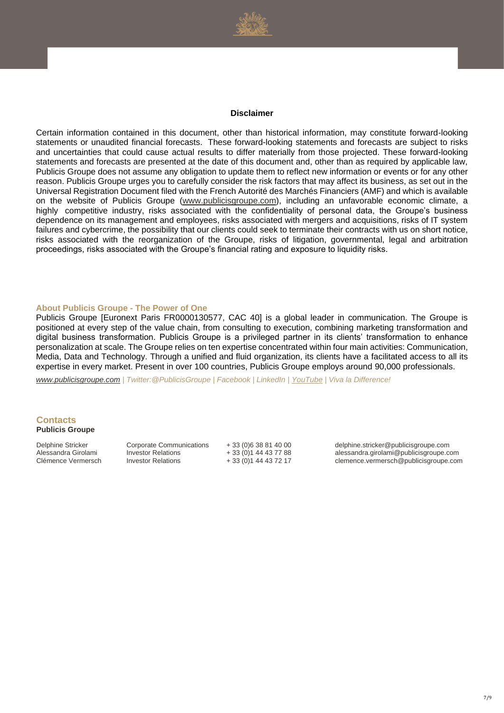

#### **Disclaimer**

Certain information contained in this document, other than historical information, may constitute forward-looking statements or unaudited financial forecasts. These forward-looking statements and forecasts are subject to risks and uncertainties that could cause actual results to differ materially from those projected. These forward-looking statements and forecasts are presented at the date of this document and, other than as required by applicable law, Publicis Groupe does not assume any obligation to update them to reflect new information or events or for any other reason. Publicis Groupe urges you to carefully consider the risk factors that may affect its business, as set out in the Universal Registration Document filed with the French Autorité des Marchés Financiers (AMF) and which is available on the website of Publicis Groupe [\(www.publicisgroupe.com\)](http://www.publicisgroupe.com/), including an unfavorable economic climate, a highly competitive industry, risks associated with the confidentiality of personal data, the Groupe's business dependence on its management and employees, risks associated with mergers and acquisitions, risks of IT system failures and cybercrime, the possibility that our clients could seek to terminate their contracts with us on short notice, risks associated with the reorganization of the Groupe, risks of litigation, governmental, legal and arbitration proceedings, risks associated with the Groupe's financial rating and exposure to liquidity risks.

#### **About Publicis Groupe - The Power of One**

Publicis Groupe [Euronext Paris FR0000130577, CAC 40] is a global leader in communication. The Groupe is positioned at every step of the value chain, from consulting to execution, combining marketing transformation and digital business transformation. Publicis Groupe is a privileged partner in its clients' transformation to enhance personalization at scale. The Groupe relies on ten expertise concentrated within four main activities: Communication, Media, Data and Technology. Through a unified and fluid organization, its clients have a facilitated access to all its expertise in every market. Present in over 100 countries, Publicis Groupe employs around 90,000 professionals.

*[www.publicisgroupe.com](http://www.publicisgroupe.com/) | Twitter:@PublicisGroupe | Facebook | LinkedIn [| YouTube](http://www.youtube.com/user/PublicisGroupe) | Viva la Difference!*

#### **Contacts Publicis Groupe**

Delphine Stricker Alessandra Girolami<br>Clémence Vermersch Corporate Communications **Investor Relations**<br>Investor Relations

+ 33 (0)6 38 81 40 00 + 33 (0)1 44 43 77 88 delphine.stricker@publicisgroupe.com alessandra.girolami@publicisgroupe.com clemence vermersch@publicisgroupe.com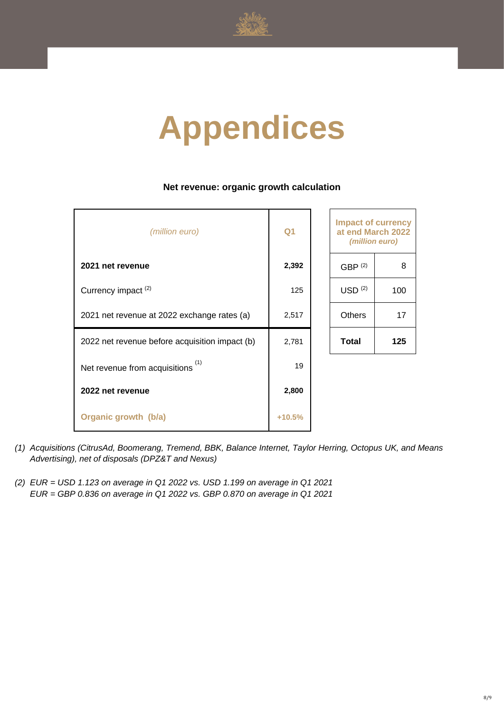

# **Appendices**

#### **Net revenue: organic growth calculation**

| (million euro)                                 | Q <sub>1</sub> | <b>Impact of currency</b><br>at end March 2022<br>(million euro) |     |
|------------------------------------------------|----------------|------------------------------------------------------------------|-----|
| 2021 net revenue                               | 2,392          | GBP $(2)$                                                        | 8   |
| Currency impact <sup>(2)</sup>                 | 125            | USD <sup>(2)</sup>                                               | 100 |
| 2021 net revenue at 2022 exchange rates (a)    | 2,517          | <b>Others</b>                                                    | 17  |
| 2022 net revenue before acquisition impact (b) | 2,781          | Total                                                            | 125 |
| Net revenue from acquisitions $(1)$            | 19             |                                                                  |     |
| 2022 net revenue                               | 2,800          |                                                                  |     |
| Organic growth (b/a)                           | $+10.5%$       |                                                                  |     |

- *(1) Acquisitions (CitrusAd, Boomerang, Tremend, BBK, Balance Internet, Taylor Herring, Octopus UK, and Means Advertising), net of disposals (DPZ&T and Nexus)*
- *(2) EUR = USD 1.123 on average in Q1 2022 vs. USD 1.199 on average in Q1 2021 EUR = GBP 0.836 on average in Q1 2022 vs. GBP 0.870 on average in Q1 2021*